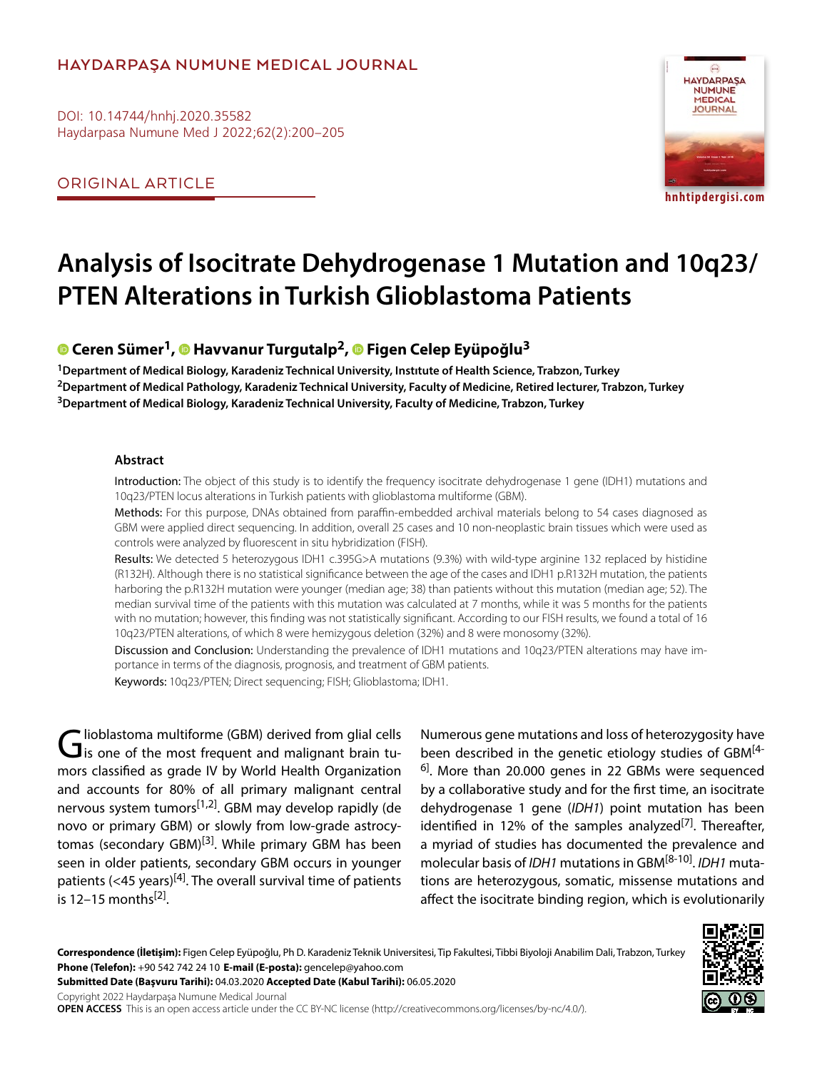## **HAYDARPAŞA NUMUNE MEDICAL JOURNAL**

DOI: 10.14744/hnhj.2020.35582 Haydarpasa Numune Med J 2022;62(2):200–205

ORIGINAL ARTICLE



# **Analysis of Isocitrate Dehydrogenase 1 Mutation and 10q23/ PTEN Alterations in Turkish Glioblastoma Patients**

## **Ceren Sümer1,Havvanur Turgutalp2,Figen Celep Eyüpoğlu3**

**1Department of Medical Biology, Karadeniz Technical University, Instıtute of Health Science, Trabzon, Turkey 2Department of Medical Pathology, Karadeniz Technical University, Faculty of Medicine, Retired lecturer, Trabzon, Turkey 3Department of Medical Biology, Karadeniz Technical University, Faculty of Medicine, Trabzon, Turkey**

#### **Abstract**

Introduction: The object of this study is to identify the frequency isocitrate dehydrogenase 1 gene (IDH1) mutations and 10q23/PTEN locus alterations in Turkish patients with glioblastoma multiforme (GBM).

Methods: For this purpose, DNAs obtained from paraffin-embedded archival materials belong to 54 cases diagnosed as GBM were applied direct sequencing. In addition, overall 25 cases and 10 non-neoplastic brain tissues which were used as controls were analyzed by fluorescent in situ hybridization (FISH).

Results: We detected 5 heterozygous IDH1 c.395G>A mutations (9.3%) with wild-type arginine 132 replaced by histidine (R132H). Although there is no statistical significance between the age of the cases and IDH1 p.R132H mutation, the patients harboring the p.R132H mutation were younger (median age; 38) than patients without this mutation (median age; 52). The median survival time of the patients with this mutation was calculated at 7 months, while it was 5 months for the patients with no mutation; however, this finding was not statistically significant. According to our FISH results, we found a total of 16 10q23/PTEN alterations, of which 8 were hemizygous deletion (32%) and 8 were monosomy (32%).

Discussion and Conclusion: Understanding the prevalence of IDH1 mutations and 10q23/PTEN alterations may have importance in terms of the diagnosis, prognosis, and treatment of GBM patients.

Keywords: 10q23/PTEN; Direct sequencing; FISH; Glioblastoma; IDH1.

Glioblastoma multiforme (GBM) derived from glial cells<br>is one of the most frequent and malignant brain tumors classified as grade IV by World Health Organization and accounts for 80% of all primary malignant central nervous system tumors<sup>[1,2]</sup>. GBM may develop rapidly (de novo or primary GBM) or slowly from low-grade astrocytomas (secondary GBM)<sup>[3]</sup>. While primary GBM has been seen in older patients, secondary GBM occurs in younger patients (<45 years)<sup>[4]</sup>. The overall survival time of patients is  $12-15$  months<sup>[2]</sup>.

Numerous gene mutations and loss of heterozygosity have been described in the genetic etiology studies of GBM<sup>[4-</sup>  $6$ ]. More than 20.000 genes in 22 GBMs were sequenced by a collaborative study and for the first time, an isocitrate dehydrogenase 1 gene (*IDH1*) point mutation has been identified in 12% of the samples analyzed<sup>[7]</sup>. Thereafter, a myriad of studies has documented the prevalence and molecular basis of *IDH1* mutations in GBM[8-10]. *IDH1* mutations are heterozygous, somatic, missense mutations and affect the isocitrate binding region, which is evolutionarily

**Correspondence (İletişim):** Figen Celep Eyüpoğlu, Ph D. Karadeniz Teknik Universitesi, Tip Fakultesi, Tibbi Biyoloji Anabilim Dali, Trabzon, Turkey **Phone (Telefon):** +90 542 742 24 10 **E-mail (E-posta):** gencelep@yahoo.com

**Submitted Date (Başvuru Tarihi):** 04.03.2020 **Accepted Date (Kabul Tarihi):** 06.05.2020

Copyright 2022 Haydarpaşa Numune Medical Journal

**OPEN ACCESS** This is an open access article under the CC BY-NC license (http://creativecommons.org/licenses/by-nc/4.0/).

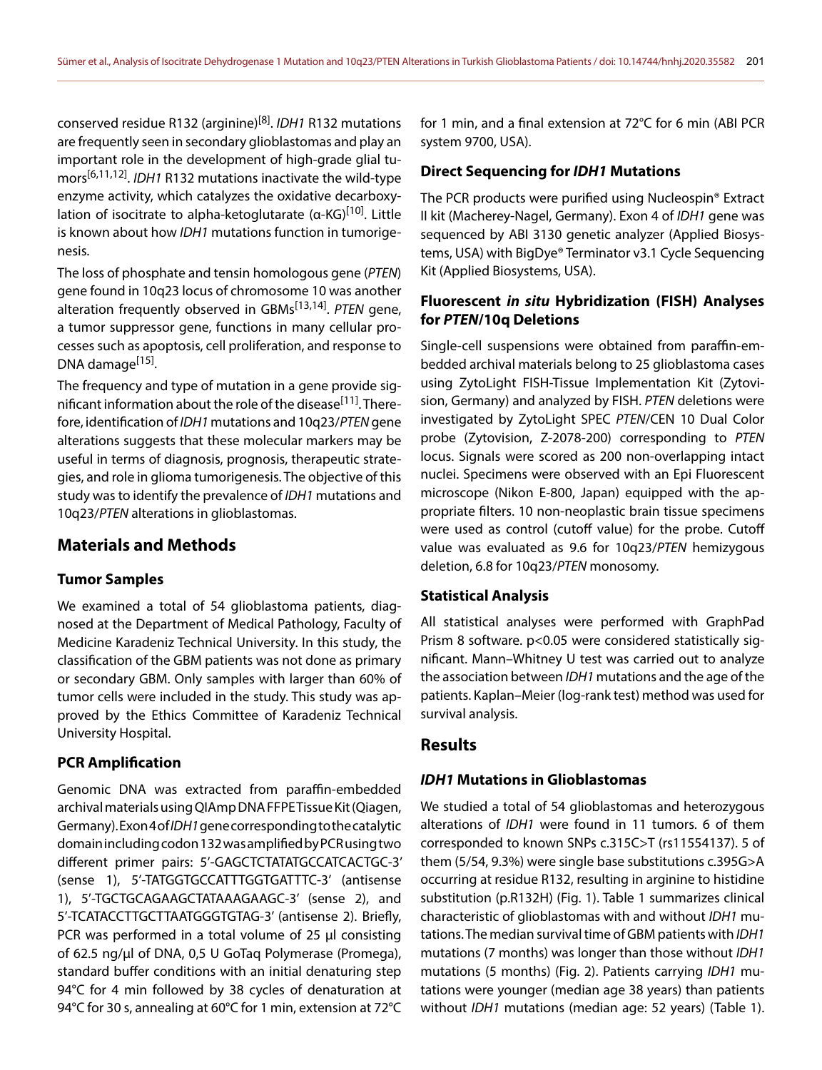conserved residue R132 (arginine)[8]. *IDH1* R132 mutations are frequently seen in secondary glioblastomas and play an important role in the development of high-grade glial tumors[6,11,12]. *IDH1* R132 mutations inactivate the wild-type enzyme activity, which catalyzes the oxidative decarboxylation of isocitrate to alpha-ketoglutarate  $(α-KG)^{[10]}$ . Little is known about how *IDH1* mutations function in tumorigenesis.

The loss of phosphate and tensin homologous gene (*PTEN*) gene found in 10q23 locus of chromosome 10 was another alteration frequently observed in GBMs[13,14]. *PTEN* gene, a tumor suppressor gene, functions in many cellular processes such as apoptosis, cell proliferation, and response to DNA damage<sup>[15]</sup>.

The frequency and type of mutation in a gene provide significant information about the role of the disease<sup>[11]</sup>. Therefore, identification of *IDH1* mutations and 10q23/*PTEN* gene alterations suggests that these molecular markers may be useful in terms of diagnosis, prognosis, therapeutic strategies, and role in glioma tumorigenesis. The objective of this study was to identify the prevalence of *IDH1* mutations and 10q23/*PTEN* alterations in glioblastomas.

### **Materials and Methods**

#### **Tumor Samples**

We examined a total of 54 glioblastoma patients, diagnosed at the Department of Medical Pathology, Faculty of Medicine Karadeniz Technical University. In this study, the classification of the GBM patients was not done as primary or secondary GBM. Only samples with larger than 60% of tumor cells were included in the study. This study was approved by the Ethics Committee of Karadeniz Technical University Hospital.

#### **PCR Amplification**

Genomic DNA was extracted from paraffin-embedded archival materials using QIAmp DNA FFPE Tissue Kit (Qiagen, Germany). Exon 4 of *IDH1* gene corresponding to the catalytic domain including codon 132 was amplified by PCR using two different primer pairs: 5'-GAGCTCTATATGCCATCACTGC-3' (sense 1), 5'-TATGGTGCCATTTGGTGATTTC-3' (antisense 1), 5'-TGCTGCAGAAGCTATAAAGAAGC-3' (sense 2), and 5'-TCATACCTTGCTTAATGGGTGTAG-3' (antisense 2). Briefly, PCR was performed in a total volume of 25 µl consisting of 62.5 ng/µl of DNA, 0,5 U GoTaq Polymerase (Promega), standard buffer conditions with an initial denaturing step 94°C for 4 min followed by 38 cycles of denaturation at 94°C for 30 s, annealing at 60°C for 1 min, extension at 72°C

for 1 min, and a final extension at 72°C for 6 min (ABI PCR system 9700, USA).

#### **Direct Sequencing for** *IDH1* **Mutations**

The PCR products were purified using Nucleospin® Extract II kit (Macherey-Nagel, Germany). Exon 4 of *IDH1* gene was sequenced by ABI 3130 genetic analyzer (Applied Biosystems, USA) with BigDye® Terminator v3.1 Cycle Sequencing Kit (Applied Biosystems, USA).

## **Fluorescent** *in situ* **Hybridization (FISH) Analyses for** *PTEN***/10q Deletions**

Single-cell suspensions were obtained from paraffin-embedded archival materials belong to 25 glioblastoma cases using ZytoLight FISH-Tissue Implementation Kit (Zytovision, Germany) and analyzed by FISH. *PTEN* deletions were investigated by ZytoLight SPEC *PTEN*/CEN 10 Dual Color probe (Zytovision, Z-2078-200) corresponding to *PTEN* locus. Signals were scored as 200 non-overlapping intact nuclei. Specimens were observed with an Epi Fluorescent microscope (Nikon E-800, Japan) equipped with the appropriate filters. 10 non-neoplastic brain tissue specimens were used as control (cutoff value) for the probe. Cutoff value was evaluated as 9.6 for 10q23/*PTEN* hemizygous deletion, 6.8 for 10q23/*PTEN* monosomy.

#### **Statistical Analysis**

All statistical analyses were performed with GraphPad Prism 8 software. p<0.05 were considered statistically significant. Mann–Whitney U test was carried out to analyze the association between *IDH1* mutations and the age of the patients. Kaplan–Meier (log-rank test) method was used for survival analysis.

### **Results**

#### *IDH1* **Mutations in Glioblastomas**

We studied a total of 54 glioblastomas and heterozygous alterations of *IDH1* were found in 11 tumors. 6 of them corresponded to known SNPs c.315C>T (rs11554137). 5 of them (5/54, 9.3%) were single base substitutions c.395G>A occurring at residue R132, resulting in arginine to histidine substitution (p.R132H) (Fig. 1). Table 1 summarizes clinical characteristic of glioblastomas with and without *IDH1* mutations. The median survival time of GBM patients with *IDH1* mutations (7 months) was longer than those without *IDH1* mutations (5 months) (Fig. 2). Patients carrying *IDH1* mutations were younger (median age 38 years) than patients without *IDH1* mutations (median age: 52 years) (Table 1).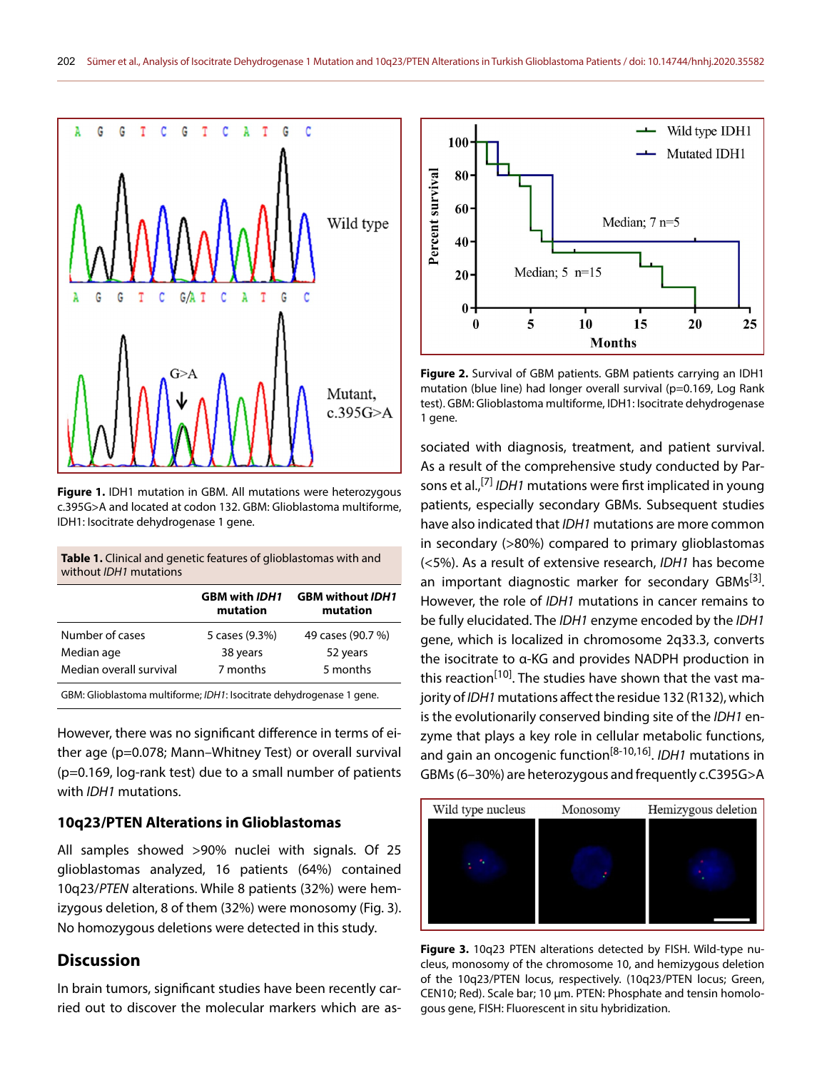

**Figure 1.** IDH1 mutation in GBM. All mutations were heterozygous c.395G>A and located at codon 132. GBM: Glioblastoma multiforme, IDH1: Isocitrate dehydrogenase 1 gene.

| <b>Table 1.</b> Clinical and genetic features of glioblastomas with and |  |
|-------------------------------------------------------------------------|--|
| without <i>IDH1</i> mutations                                           |  |

|                                                                      | <b>GBM with IDH1</b><br>mutation | <b>GBM without IDH1</b><br>mutation |  |
|----------------------------------------------------------------------|----------------------------------|-------------------------------------|--|
| Number of cases                                                      | 5 cases (9.3%)                   | 49 cases (90.7 %)                   |  |
| Median age                                                           | 38 years                         | 52 years                            |  |
| Median overall survival                                              | 7 months                         | 5 months                            |  |
| GBM: Glioblastoma multiforme; IDH1: Isocitrate dehydrogenase 1 gene. |                                  |                                     |  |

However, there was no significant difference in terms of either age (p=0.078; Mann–Whitney Test) or overall survival (p=0.169, log-rank test) due to a small number of patients with *IDH1* mutations.

## **10q23/PTEN Alterations in Glioblastomas**

All samples showed >90% nuclei with signals. Of 25 glioblastomas analyzed, 16 patients (64%) contained 10q23/*PTEN* alterations. While 8 patients (32%) were hemizygous deletion, 8 of them (32%) were monosomy (Fig. 3). No homozygous deletions were detected in this study.

## **Discussion**

In brain tumors, significant studies have been recently carried out to discover the molecular markers which are as-



**Figure 2.** Survival of GBM patients. GBM patients carrying an IDH1 mutation (blue line) had longer overall survival (p=0.169, Log Rank test). GBM: Glioblastoma multiforme, IDH1: Isocitrate dehydrogenase 1 gene.

sociated with diagnosis, treatment, and patient survival. As a result of the comprehensive study conducted by Parsons et al.,[7] *IDH1* mutations were first implicated in young patients, especially secondary GBMs. Subsequent studies have also indicated that *IDH1* mutations are more common in secondary (>80%) compared to primary glioblastomas (<5%). As a result of extensive research, *IDH1* has become an important diagnostic marker for secondary GBMs $^{[3]}$ . However, the role of *IDH1* mutations in cancer remains to be fully elucidated. The *IDH1* enzyme encoded by the *IDH1* gene, which is localized in chromosome 2q33.3, converts the isocitrate to α-KG and provides NADPH production in this reaction<sup>[10]</sup>. The studies have shown that the vast majority of *IDH1* mutations affect the residue 132 (R132), which is the evolutionarily conserved binding site of the *IDH1* enzyme that plays a key role in cellular metabolic functions, and gain an oncogenic function[8-10,16]. *IDH1* mutations in GBMs (6–30%) are heterozygous and frequently c.C395G>A



**Figure 3.** 10q23 PTEN alterations detected by FISH. Wild-type nucleus, monosomy of the chromosome 10, and hemizygous deletion of the 10q23/PTEN locus, respectively. (10q23/PTEN locus; Green, CEN10; Red). Scale bar; 10 µm. PTEN: Phosphate and tensin homologous gene, FISH: Fluorescent in situ hybridization.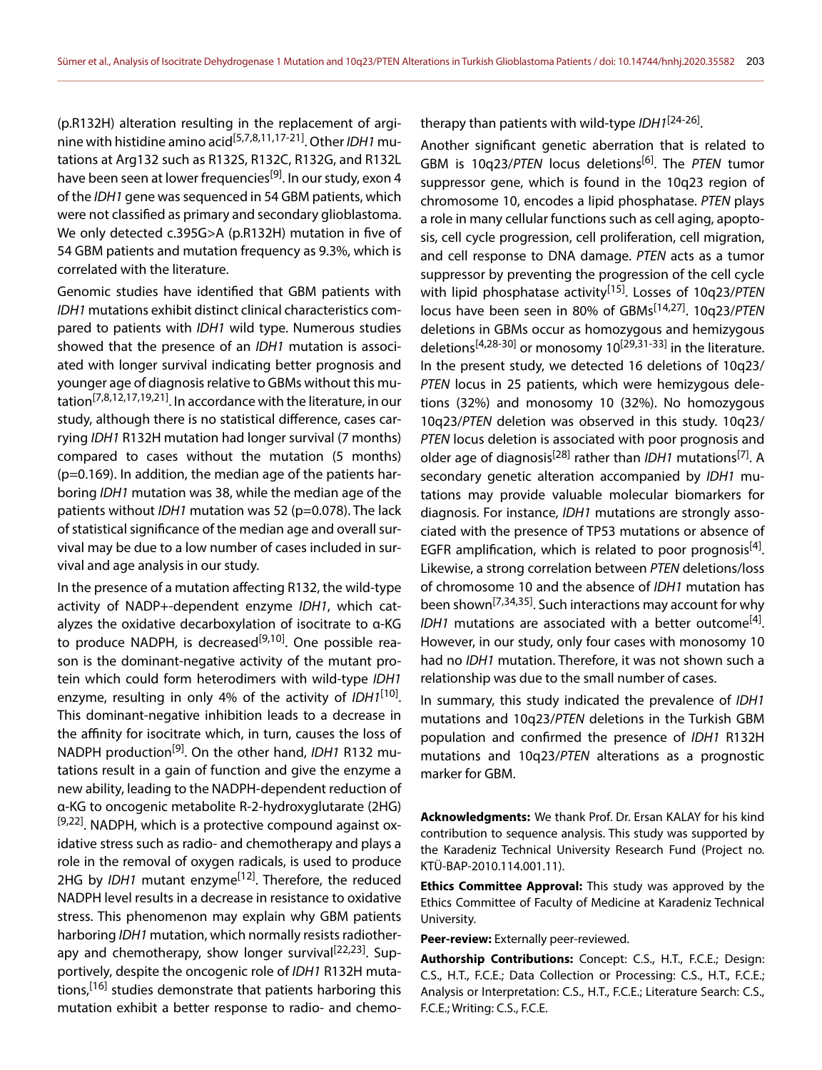(p.R132H) alteration resulting in the replacement of arginine with histidine amino acid[5,7,8,11,17-21]. Other *IDH1* mutations at Arg132 such as R132S, R132C, R132G, and R132L have been seen at lower frequencies<sup>[9]</sup>. In our study, exon 4 of the *IDH1* gene was sequenced in 54 GBM patients, which were not classified as primary and secondary glioblastoma. We only detected c.395G>A (p.R132H) mutation in five of 54 GBM patients and mutation frequency as 9.3%, which is correlated with the literature.

Genomic studies have identified that GBM patients with *IDH1* mutations exhibit distinct clinical characteristics compared to patients with *IDH1* wild type. Numerous studies showed that the presence of an *IDH1* mutation is associated with longer survival indicating better prognosis and younger age of diagnosis relative to GBMs without this mutation[7,8,12,17,19,21]. In accordance with the literature, in our study, although there is no statistical difference, cases carrying *IDH1* R132H mutation had longer survival (7 months) compared to cases without the mutation (5 months) (p=0.169). In addition, the median age of the patients harboring *IDH1* mutation was 38, while the median age of the patients without *IDH1* mutation was 52 (p=0.078). The lack of statistical significance of the median age and overall survival may be due to a low number of cases included in survival and age analysis in our study.

In the presence of a mutation affecting R132, the wild-type activity of NADP+-dependent enzyme *IDH1*, which catalyzes the oxidative decarboxylation of isocitrate to α-KG to produce NADPH, is decreased<sup>[9,10]</sup>. One possible reason is the dominant-negative activity of the mutant protein which could form heterodimers with wild-type *IDH1* enzyme, resulting in only 4% of the activity of *IDH1*[10]. This dominant-negative inhibition leads to a decrease in the affinity for isocitrate which, in turn, causes the loss of NADPH production[9]. On the other hand, *IDH1* R132 mutations result in a gain of function and give the enzyme a new ability, leading to the NADPH-dependent reduction of α-KG to oncogenic metabolite R-2-hydroxyglutarate (2HG)  $[9,22]$ . NADPH, which is a protective compound against oxidative stress such as radio- and chemotherapy and plays a role in the removal of oxygen radicals, is used to produce 2HG by *IDH1* mutant enzyme<sup>[12]</sup>. Therefore, the reduced NADPH level results in a decrease in resistance to oxidative stress. This phenomenon may explain why GBM patients harboring *IDH1* mutation, which normally resists radiotherapy and chemotherapy, show longer survival<sup>[22,23]</sup>. Supportively, despite the oncogenic role of *IDH1* R132H mutations,<sup>[16]</sup> studies demonstrate that patients harboring this mutation exhibit a better response to radio- and chemotherapy than patients with wild-type *IDH1*[24-26].

Another significant genetic aberration that is related to GBM is 10q23/PTEN locus deletions<sup>[6]</sup>. The PTEN tumor suppressor gene, which is found in the 10q23 region of chromosome 10, encodes a lipid phosphatase. *PTEN* plays a role in many cellular functions such as cell aging, apoptosis, cell cycle progression, cell proliferation, cell migration, and cell response to DNA damage. *PTEN* acts as a tumor suppressor by preventing the progression of the cell cycle with lipid phosphatase activity[15]. Losses of 10q23/*PTEN* locus have been seen in 80% of GBMs[14,27]. 10q23/*PTEN* deletions in GBMs occur as homozygous and hemizygous deletions<sup>[4,28-30]</sup> or monosomy  $10^{[29,31-33]}$  in the literature. In the present study, we detected 16 deletions of 10q23/ *PTEN* locus in 25 patients, which were hemizygous deletions (32%) and monosomy 10 (32%). No homozygous 10q23/*PTEN* deletion was observed in this study. 10q23/ *PTEN* locus deletion is associated with poor prognosis and older age of diagnosis<sup>[28]</sup> rather than *IDH1* mutations<sup>[7]</sup>. A secondary genetic alteration accompanied by *IDH1* mutations may provide valuable molecular biomarkers for diagnosis. For instance, *IDH1* mutations are strongly associated with the presence of TP53 mutations or absence of EGFR amplification, which is related to poor prognosis<sup>[4]</sup>. Likewise, a strong correlation between *PTEN* deletions/loss of chromosome 10 and the absence of *IDH1* mutation has been shown[7,34,35]. Such interactions may account for why *IDH1* mutations are associated with a better outcome<sup>[4]</sup>. However, in our study, only four cases with monosomy 10 had no *IDH1* mutation. Therefore, it was not shown such a relationship was due to the small number of cases.

In summary, this study indicated the prevalence of *IDH1* mutations and 10q23/*PTEN* deletions in the Turkish GBM population and confirmed the presence of *IDH1* R132H mutations and 10q23/*PTEN* alterations as a prognostic marker for GBM.

**Acknowledgments:** We thank Prof. Dr. Ersan KALAY for his kind contribution to sequence analysis. This study was supported by the Karadeniz Technical University Research Fund (Project no. KTÜ-BAP-2010.114.001.11).

**Ethics Committee Approval:** This study was approved by the Ethics Committee of Faculty of Medicine at Karadeniz Technical University.

**Peer-review:** Externally peer-reviewed.

**Authorship Contributions:** Concept: C.S., H.T., F.C.E.; Design: C.S., H.T., F.C.E.; Data Collection or Processing: C.S., H.T., F.C.E.; Analysis or Interpretation: C.S., H.T., F.C.E.; Literature Search: C.S., F.C.E.; Writing: C.S., F.C.E.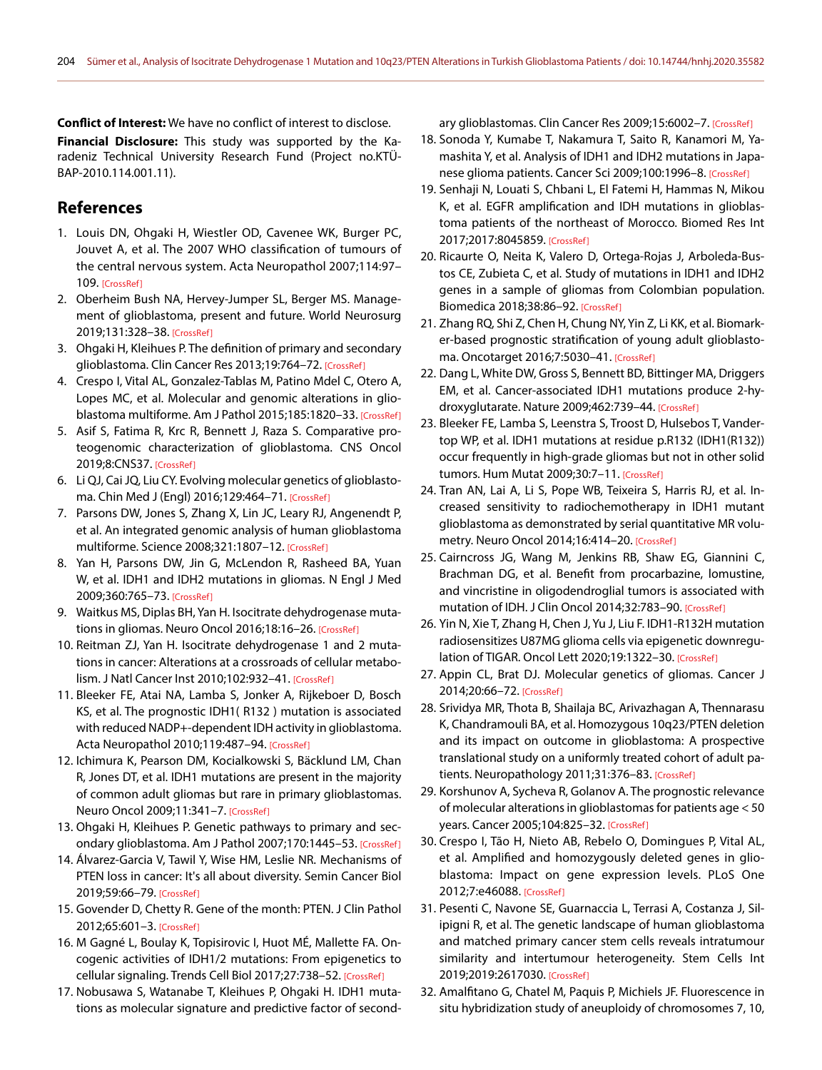**Conflict of Interest:** We have no conflict of interest to disclose.

**Financial Disclosure:** This study was supported by the Karadeniz Technical University Research Fund (Project no.KTÜ-BAP-2010.114.001.11).

## **References**

- 1. Louis DN, Ohgaki H, Wiestler OD, Cavenee WK, Burger PC, Jouvet A, et al. The 2007 WHO classification of tumours of the central nervous system. Acta Neuropathol 2007;114:97– 109. [\[CrossRef \]](https://doi.org/10.1007/s00401-007-0243-4)
- 2. Oberheim Bush NA, Hervey-Jumper SL, Berger MS. Management of glioblastoma, present and future. World Neurosurg 2019;131:328-38. [CrossRef]
- 3. Ohgaki H, Kleihues P. The definition of primary and secondary glioblastoma. Clin Cancer Res 2013;19:764-72. [CrossRef]
- 4. Crespo I, Vital AL, Gonzalez-Tablas M, Patino Mdel C, Otero A, Lopes MC, et al. Molecular and genomic alterations in glioblastoma multiforme. Am J Pathol 2015;185:1820-33. [CrossRef]
- 5. Asif S, Fatima R, Krc R, Bennett J, Raza S. Comparative proteogenomic characterization of glioblastoma. CNS Oncol 2019;8:CNS37. [\[CrossRef \]](https://doi.org/10.2217/cns-2019-0003)
- 6. Li QJ, Cai JQ, Liu CY. Evolving molecular genetics of glioblastoma. Chin Med J (Engl) 2016;129:464-71. [CrossRef]
- 7. Parsons DW, Jones S, Zhang X, Lin JC, Leary RJ, Angenendt P, et al. An integrated genomic analysis of human glioblastoma multiforme. Science 2008;321:1807-12. [CrossRef]
- 8. Yan H, Parsons DW, Jin G, McLendon R, Rasheed BA, Yuan W, et al. IDH1 and IDH2 mutations in gliomas. N Engl J Med 2009;360:765-73. [CrossRef]
- 9. Waitkus MS, Diplas BH, Yan H. Isocitrate dehydrogenase mutations in gliomas. Neuro Oncol 2016;18:16-26. [CrossRef]
- 10. Reitman ZJ, Yan H. Isocitrate dehydrogenase 1 and 2 mutations in cancer: Alterations at a crossroads of cellular metabolism. J Natl Cancer Inst 2010;102:932-41. [CrossRef]
- 11. Bleeker FE, Atai NA, Lamba S, Jonker A, Rijkeboer D, Bosch KS, et al. The prognostic IDH1( R132 ) mutation is associated with reduced NADP+-dependent IDH activity in glioblastoma. Acta Neuropathol 2010;119:487-94. [CrossRef]
- 12. Ichimura K, Pearson DM, Kocialkowski S, Bäcklund LM, Chan R, Jones DT, et al. IDH1 mutations are present in the majority of common adult gliomas but rare in primary glioblastomas. Neuro Oncol 2009;11:341-7. [CrossRef]
- 13. Ohgaki H, Kleihues P. Genetic pathways to primary and secondary glioblastoma. Am J Pathol 2007;170:1445-53. [CrossRef]
- 14. Álvarez-Garcia V, Tawil Y, Wise HM, Leslie NR. Mechanisms of PTEN loss in cancer: It's all about diversity. Semin Cancer Biol 2019;59:66-79. [CrossRef]
- 15. Govender D, Chetty R. Gene of the month: PTEN. J Clin Pathol 2012;65:601-3. [CrossRef]
- 16. M Gagné L, Boulay K, Topisirovic I, Huot MÉ, Mallette FA. Oncogenic activities of IDH1/2 mutations: From epigenetics to cellular signaling. Trends Cell Biol 2017;27:738–52. [\[CrossRef \]](https://doi.org/10.1016/j.tcb.2017.06.002)
- 17. Nobusawa S, Watanabe T, Kleihues P, Ohgaki H. IDH1 mutations as molecular signature and predictive factor of second-

ary glioblastomas. Clin Cancer Res 2009;15:6002-7. [CrossRef]

- 18. Sonoda Y, Kumabe T, Nakamura T, Saito R, Kanamori M, Yamashita Y, et al. Analysis of IDH1 and IDH2 mutations in Japanese glioma patients. Cancer Sci 2009;100:1996-8. [CrossRef]
- 19. Senhaji N, Louati S, Chbani L, El Fatemi H, Hammas N, Mikou K, et al. EGFR amplification and IDH mutations in glioblastoma patients of the northeast of Morocco. Biomed Res Int 2017;2017:8045859. [CrossRef]
- 20. Ricaurte O, Neita K, Valero D, Ortega-Rojas J, Arboleda-Bustos CE, Zubieta C, et al. Study of mutations in IDH1 and IDH2 genes in a sample of gliomas from Colombian population. Biomedica 2018;38:86–92. [\[CrossRef \]](https://doi.org/10.7705/biomedica.v38i0.3708)
- 21. Zhang RQ, Shi Z, Chen H, Chung NY, Yin Z, Li KK, et al. Biomarker-based prognostic stratification of young adult glioblastoma. Oncotarget 2016;7:5030–41. [\[CrossRef \]](https://doi.org/10.18632/oncotarget.5456)
- 22. Dang L, White DW, Gross S, Bennett BD, Bittinger MA, Driggers EM, et al. Cancer-associated IDH1 mutations produce 2-hydroxyglutarate. Nature 2009;462:739-44. [CrossRef]
- 23. Bleeker FE, Lamba S, Leenstra S, Troost D, Hulsebos T, Vandertop WP, et al. IDH1 mutations at residue p.R132 (IDH1(R132)) occur frequently in high-grade gliomas but not in other solid tumors. Hum Mutat 2009;30:7-11. [CrossRef]
- 24. Tran AN, Lai A, Li S, Pope WB, Teixeira S, Harris RJ, et al. Increased sensitivity to radiochemotherapy in IDH1 mutant glioblastoma as demonstrated by serial quantitative MR volumetry. Neuro Oncol 2014;16:414-20. [CrossRef]
- 25. Cairncross JG, Wang M, Jenkins RB, Shaw EG, Giannini C, Brachman DG, et al. Benefit from procarbazine, lomustine, and vincristine in oligodendroglial tumors is associated with mutation of IDH. J Clin Oncol 2014;32:783-90. [CrossRef]
- 26. Yin N, Xie T, Zhang H, Chen J, Yu J, Liu F. IDH1-R132H mutation radiosensitizes U87MG glioma cells via epigenetic downregulation of TIGAR. Oncol Lett 2020;19:1322-30. [CrossRef]
- 27. Appin CL, Brat DJ. Molecular genetics of gliomas. Cancer J 2014;20:66–72. [\[CrossRef \]](https://doi.org/10.1097/PPO.0000000000000020)
- 28. Srividya MR, Thota B, Shailaja BC, Arivazhagan A, Thennarasu K, Chandramouli BA, et al. Homozygous 10q23/PTEN deletion and its impact on outcome in glioblastoma: A prospective translational study on a uniformly treated cohort of adult patients. Neuropathology 2011;31:376-83. [CrossRef]
- 29. Korshunov A, Sycheva R, Golanov A. The prognostic relevance of molecular alterations in glioblastomas for patients age < 50 years. Cancer 2005;104:825-32. [CrossRef]
- 30. Crespo I, Tão H, Nieto AB, Rebelo O, Domingues P, Vital AL, et al. Amplified and homozygously deleted genes in glioblastoma: Impact on gene expression levels. PLoS One 2012;7:e46088. [CrossRef]
- 31. Pesenti C, Navone SE, Guarnaccia L, Terrasi A, Costanza J, Silipigni R, et al. The genetic landscape of human glioblastoma and matched primary cancer stem cells reveals intratumour similarity and intertumour heterogeneity. Stem Cells Int 2019;2019:2617030. [CrossRef]
- 32. Amalfitano G, Chatel M, Paquis P, Michiels JF. Fluorescence in situ hybridization study of aneuploidy of chromosomes 7, 10,